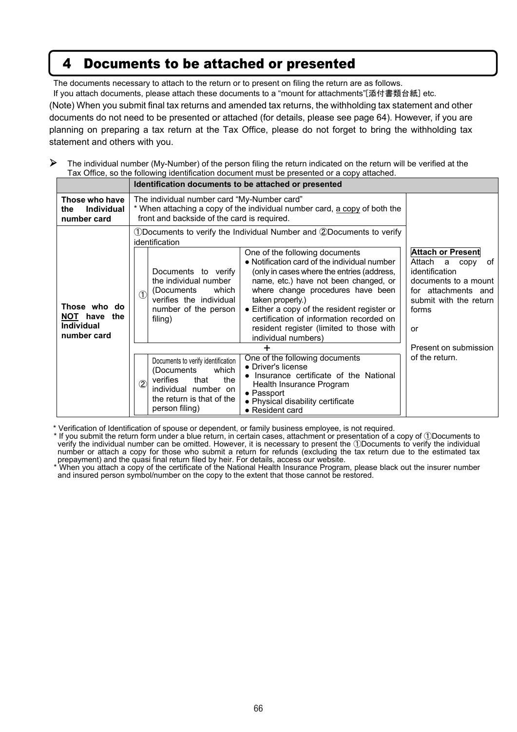## 4 Documents to be attached or presented

The documents necessary to attach to the return or to present on filing the return are as follows.

If you attach documents, please attach these documents to a "mount for attachments"[添付書類台紙] etc.

(Note) When you submit final tax returns and amended tax returns, the withholding tax statement and other documents do not need to be presented or attached (for details, please see page 64). However, if you are planning on preparing a tax return at the Tax Office, please do not forget to bring the withholding tax statement and others with you.

 $\triangleright$  The individual number (My-Number) of the person filing the return indicated on the return will be verified at the Tax Office, so the following identification document must be presented or a copy attached.

|                                                                     | Identification documents to be attached or presented                                                                                                                                                                                                                                                                                                                                                                                                                                                                                                                                                                                                         |                                                                                                                                                                 |  |
|---------------------------------------------------------------------|--------------------------------------------------------------------------------------------------------------------------------------------------------------------------------------------------------------------------------------------------------------------------------------------------------------------------------------------------------------------------------------------------------------------------------------------------------------------------------------------------------------------------------------------------------------------------------------------------------------------------------------------------------------|-----------------------------------------------------------------------------------------------------------------------------------------------------------------|--|
| Those who have<br><b>Individual</b><br>the<br>number card           | The individual number card "My-Number card"<br>* When attaching a copy of the individual number card, a copy of both the<br>front and backside of the card is required.                                                                                                                                                                                                                                                                                                                                                                                                                                                                                      |                                                                                                                                                                 |  |
| Those who do<br>NOT have<br>the<br><b>Individual</b><br>number card | 1D Documents to verify the Individual Number and 2D ocuments to verify<br>identification<br>One of the following documents<br>• Notification card of the individual number<br>(only in cases where the entries (address,<br>Documents to verify<br>name, etc.) have not been changed, or<br>the individual number<br>where change procedures have been<br>which<br>(Documents<br>$\left( \mathcal{T}\right)$<br>verifies the individual<br>taken properly.)<br>• Either a copy of the resident register or<br>number of the person<br>certification of information recorded on<br>filing)<br>resident register (limited to those with<br>individual numbers) | <b>Attach or Present</b><br>Attach<br>a<br>copy<br>of<br>identification<br>documents to a mount<br>for attachments and<br>submit with the return<br>forms<br>or |  |
|                                                                     | ┿                                                                                                                                                                                                                                                                                                                                                                                                                                                                                                                                                                                                                                                            | Present on submission                                                                                                                                           |  |
|                                                                     | One of the following documents<br>Documents to verify identification<br>• Driver's license<br>which<br>(Documents<br>• Insurance certificate of the National<br>verifies<br>that<br>the<br>$\overline{2}$<br>Health Insurance Program<br>individual number on<br>$\bullet$ Passport<br>the return is that of the<br>• Physical disability certificate<br>person filing)<br>• Resident card                                                                                                                                                                                                                                                                   | of the return.                                                                                                                                                  |  |

\* Verification of Identification of spouse or dependent, or family business employee, is not required.

\* If you submit the return form under a blue return, in certain cases, attachment or presentation of a copy of ①Documents to verify the individual number can be omitted. However, it is necessary to present the ①Documents to verify the individual number or attach a copy for those who submit a return for refunds (excluding the tax return due to the estimated tax prepayment) and the quasi final return filed by heir. For details, access our website.

\* When you attach a copy of the certificate of the National Health Insurance Program, please black out the insurer number and insured person symbol/number on the copy to the extent that those cannot be restored.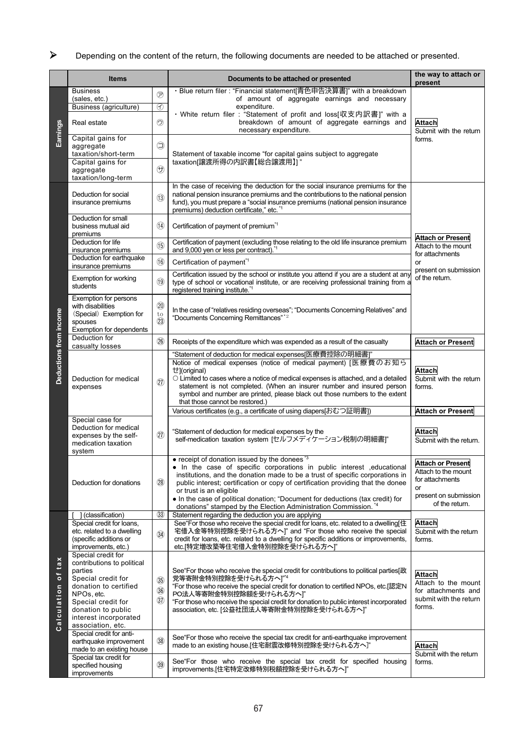## Depending on the content of the return, the following documents are needed to be attached or presented.

|                         | <b>Items</b>                                                                                                                                                                                                                                                                                          |                                                           | Documents to be attached or presented                                                                                                                                                                                                                                                                                                                                                                                                                                                                          | the way to attach or<br>present                                                                                     |
|-------------------------|-------------------------------------------------------------------------------------------------------------------------------------------------------------------------------------------------------------------------------------------------------------------------------------------------------|-----------------------------------------------------------|----------------------------------------------------------------------------------------------------------------------------------------------------------------------------------------------------------------------------------------------------------------------------------------------------------------------------------------------------------------------------------------------------------------------------------------------------------------------------------------------------------------|---------------------------------------------------------------------------------------------------------------------|
| Earnings                | <b>Business</b><br>(sales, etc.)                                                                                                                                                                                                                                                                      | $\circledcirc$                                            | · Blue return filer : "Financial statement[青色申告決算書]" with a breakdown<br>of amount of aggregate earnings and necessary                                                                                                                                                                                                                                                                                                                                                                                         | <b>Attach</b><br>Submit with the return<br>forms.                                                                   |
|                         | Business (agriculture)<br>Real estate                                                                                                                                                                                                                                                                 | ⊛<br>$\odot$                                              | expenditure.<br>・White return filer: "Statement of profit and loss[収支内訳書]" with a<br>breakdown of amount of aggregate earnings and<br>necessary expenditure.                                                                                                                                                                                                                                                                                                                                                   |                                                                                                                     |
|                         | Capital gains for<br>aggregate<br>taxation/short-term                                                                                                                                                                                                                                                 | ⊜                                                         | Statement of taxable income "for capital gains subject to aggregate                                                                                                                                                                                                                                                                                                                                                                                                                                            |                                                                                                                     |
|                         | Capital gains for<br>aggregate<br>taxation/long-term                                                                                                                                                                                                                                                  | $\bigoplus$                                               | taxation[譲渡所得の内訳書【総合譲渡用】]"                                                                                                                                                                                                                                                                                                                                                                                                                                                                                     |                                                                                                                     |
|                         | Deduction for social<br>insurance premiums                                                                                                                                                                                                                                                            | (13)                                                      | In the case of receiving the deduction for the social insurance premiums for the<br>national pension insurance premiums and the contributions to the national pension<br>fund), you must prepare a "social insurance premiums (national pension insurance<br>premiums) deduction certificate," etc. *1                                                                                                                                                                                                         | <b>Attach or Present</b><br>Attach to the mount<br>for attachments<br>or<br>present on submission<br>of the return. |
|                         | Deduction for small<br>business mutual aid<br>premiums                                                                                                                                                                                                                                                | $\circled{4}$                                             | Certification of payment of premium <sup>*1</sup>                                                                                                                                                                                                                                                                                                                                                                                                                                                              |                                                                                                                     |
|                         | Deduction for life<br>insurance premiums                                                                                                                                                                                                                                                              | (15)                                                      | Certification of payment (excluding those relating to the old life insurance premium<br>and 9,000 yen or less per contract) *1                                                                                                                                                                                                                                                                                                                                                                                 |                                                                                                                     |
|                         | Deduction for earthquake<br>insurance premiums                                                                                                                                                                                                                                                        | (16)                                                      | Certification of payment <sup>*1</sup>                                                                                                                                                                                                                                                                                                                                                                                                                                                                         |                                                                                                                     |
|                         | Exemption for working<br>students                                                                                                                                                                                                                                                                     | (19)                                                      | Certification issued by the school or institute you attend if you are a student at any<br>type of school or vocational institute, or are receiving professional training from a<br>registered training institute.*1                                                                                                                                                                                                                                                                                            |                                                                                                                     |
|                         | <b>Exemption for persons</b><br>with disabilities<br>(Special) Exemption for<br>spouses<br>Exemption for dependents                                                                                                                                                                                   | $\circled{20}$<br>to<br>(23)                              | In the case of "relatives residing overseas"; "Documents Concerning Relatives" and<br>"Documents Concerning Remittances"* <sup>2</sup>                                                                                                                                                                                                                                                                                                                                                                         |                                                                                                                     |
|                         | Deduction for<br>casualty losses                                                                                                                                                                                                                                                                      | (26)                                                      | Receipts of the expenditure which was expended as a result of the casualty                                                                                                                                                                                                                                                                                                                                                                                                                                     | <b>Attach or Present</b>                                                                                            |
| Deductions from income  | Deduction for medical<br>expenses                                                                                                                                                                                                                                                                     | (27)                                                      | "Statement of deduction for medical expenses[医療費控除の明細書]"<br>Notice of medical expenses (notice of medical payment) [医療費のお知ら<br>せ](original)<br>O Limited to cases where a notice of medical expenses is attached, and a detailed<br>statement is not completed. (When an insurer number and insured person<br>symbol and number are printed, please black out those numbers to the extent<br>that those cannot be restored.)                                                                                   | <b>Attach</b><br>Submit with the return<br>forms.                                                                   |
|                         |                                                                                                                                                                                                                                                                                                       |                                                           | Various certificates (e.g., a certificate of using diapers[おむつ証明書])                                                                                                                                                                                                                                                                                                                                                                                                                                            | <b>Attach or Present</b>                                                                                            |
|                         | Special case for<br>Deduction for medical<br>expenses by the self-<br>medication taxation<br>system                                                                                                                                                                                                   | (27)                                                      | "Statement of deduction for medical expenses by the<br>self-medication taxation system [セルフメディケーション税制の明細書]"                                                                                                                                                                                                                                                                                                                                                                                                    | <b>Attach</b><br>Submit with the return.                                                                            |
|                         | Deduction for donations                                                                                                                                                                                                                                                                               | (28)                                                      | • receipt of donation issued by the donees $3$<br>• In the case of specific corporations in public interest , educational<br>institutions, and the donation made to be a trust of specific corporations in<br>public interest; certification or copy of certification providing that the donee<br>or trust is an eligible<br>• In the case of political donation; "Document for deductions (tax credit) for<br>donations" stamped by the Election Administration Commission. *4                                | <b>Attach or Present</b><br>Attach to the mount<br>for attachments<br>or<br>present on submission<br>of the return. |
| tax<br>b<br>Calculation | ] (classification)                                                                                                                                                                                                                                                                                    | (33)                                                      | Statement regarding the deduction you are applying                                                                                                                                                                                                                                                                                                                                                                                                                                                             |                                                                                                                     |
|                         | Special credit for loans,<br>etc. related to a dwelling<br>(specific additions or<br>improvements, etc.)                                                                                                                                                                                              | (34)                                                      | See "For those who receive the special credit for loans, etc. related to a dwelling[住<br>宅借入金等特別控除を受けられる方へ " and "For those who receive the special<br>credit for loans, etc. related to a dwelling for specific additions or improvements,<br>etc.[特定増改築等住宅借入金特別控除を受けられる方へ]"                                                                                                                                                                                                                                  | <b>Attach</b><br>Submit with the return<br>forms.                                                                   |
|                         | Special credit for<br>contributions to political<br>parties<br>Special credit for<br>donation to certified<br>NPOs, etc.<br>Special credit for<br>donation to public<br>interest incorporated<br>association, etc.<br>Special credit for anti-<br>earthquake improvement<br>made to an existing house | $\circled{35}$<br>$\circled{36}$<br>$\circled{3}$<br>(38) | See For those who receive the special credit for contributions to political parties[政<br>党等寄附金特別控除を受けられる方へ]"4<br>"For those who receive the special credit for donation to certified NPOs, etc.[認定N<br>PO法人等寄附金特別控除額を受けられる方へ]"<br>"For those who receive the special credit for donation to public interest incorporated<br>association, etc. [公益社団法人等寄附金特別控除を受けられる方へ]"<br>See For those who receive the special tax credit for anti-earthquake improvement<br>made to an existing house.[住宅耐震改修特別控除を受けられる方へ]" | <b>Attach</b><br>Attach to the mount<br>for attachments and<br>submit with the return<br>forms.<br><b>Attach</b>    |
|                         | Special tax credit for<br>specified housing<br>improvements                                                                                                                                                                                                                                           | $\circled{39}$                                            | See For those who receive the special tax credit for specified housing<br>improvements.[住宅特定改修特別税額控除を受けられる方へ]"                                                                                                                                                                                                                                                                                                                                                                                                 | Submit with the return<br>forms.                                                                                    |